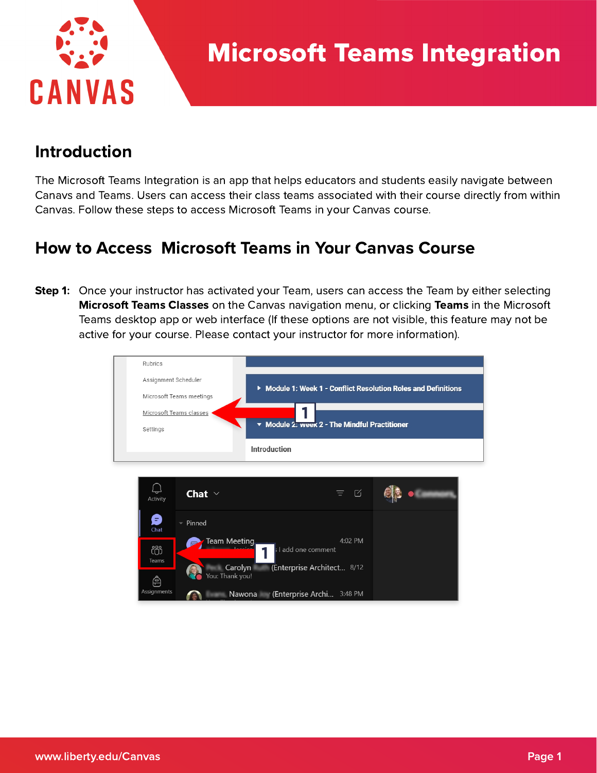

## Introduction

The Microsoft Teams Integration is an app that helps educators and students easily navigate between Canavs and Teams. Users can access their class teams associated with their course directly from within Canvas. Follow these steps to access Microsoft Teams in your Canvas course.

## How to Access Microsoft Teams in Your Canvas Course

**Step 1:** Once your instructor has activated your Team, users can access the Team by either selecting **Microsoft Teams Classes** on the Canvas navigation menu, or clicking Teams in the Microsoft Teams desktop app or web interface (If these options are not visible, this feature may not be active for your course. Please contact your instructor for more information).